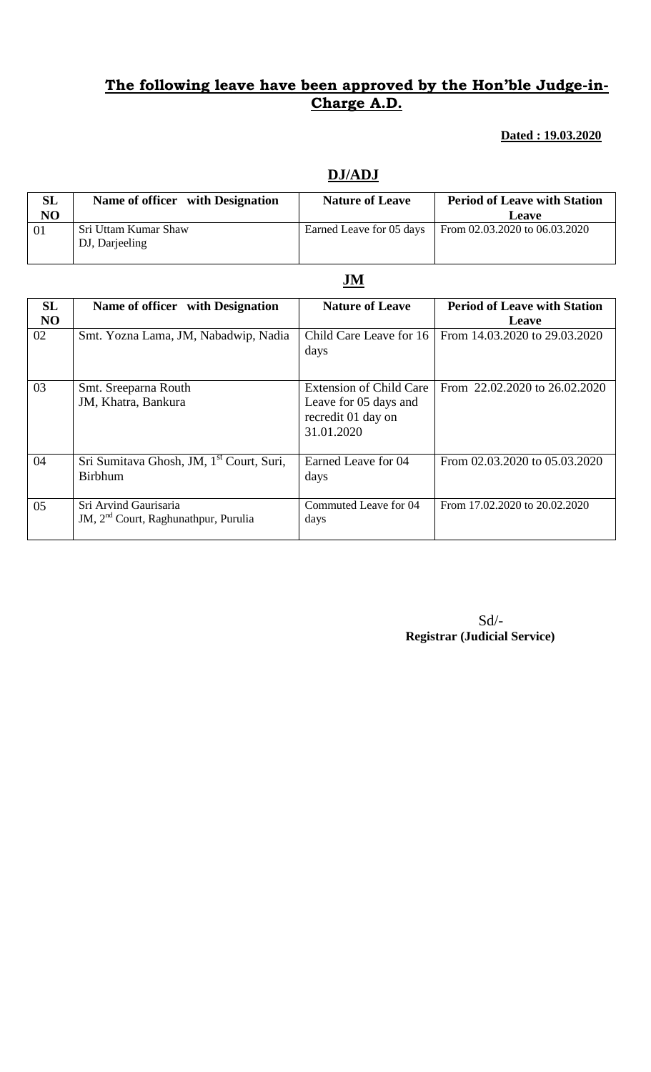### **The following leave have been approved by the Hon'ble Judge-in-Charge A.D.**

#### **Dated : 19.03.2020**

| <b>SL</b>      | Name of officer with Designation       | <b>Nature of Leave</b>   | <b>Period of Leave with Station</b> |
|----------------|----------------------------------------|--------------------------|-------------------------------------|
| N <sub>O</sub> |                                        |                          | <b>Leave</b>                        |
| 01             | Sri Uttam Kumar Shaw<br>DJ, Darjeeling | Earned Leave for 05 days | From 02.03.2020 to 06.03.2020       |

#### **DJ/ADJ**

| SL             | Name of officer with Designation                                          | <b>Nature of Leave</b>                                                                      | <b>Period of Leave with Station</b> |
|----------------|---------------------------------------------------------------------------|---------------------------------------------------------------------------------------------|-------------------------------------|
| N <sub>O</sub> |                                                                           |                                                                                             | Leave                               |
| 02             | Smt. Yozna Lama, JM, Nabadwip, Nadia                                      | Child Care Leave for 16<br>days                                                             | From 14.03.2020 to 29.03.2020       |
| 03             | Smt. Sreeparna Routh<br>JM, Khatra, Bankura                               | <b>Extension of Child Care</b><br>Leave for 05 days and<br>recredit 01 day on<br>31.01.2020 | From 22.02.2020 to 26.02.2020       |
| 04             | Sri Sumitava Ghosh, JM, 1 <sup>st</sup> Court, Suri,<br><b>Birbhum</b>    | Earned Leave for 04<br>days                                                                 | From 02.03.2020 to 05.03.2020       |
| 05             | Sri Arvind Gaurisaria<br>JM, 2 <sup>nd</sup> Court, Raghunathpur, Purulia | Commuted Leave for 04<br>days                                                               | From 17.02.2020 to 20.02.2020       |

Sd/- **Registrar (Judicial Service)**

# **JM**